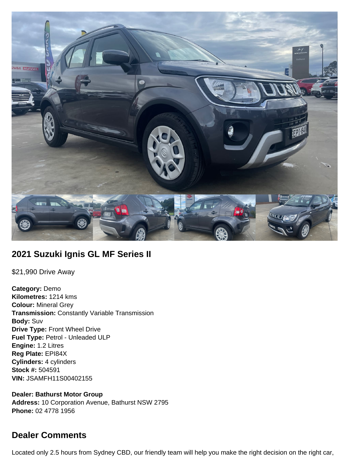

## **2021 Suzuki Ignis GL MF Series II**

\$21,990 Drive Away

**Category:** Demo **Kilometres:** 1214 kms **Colour:** Mineral Grey **Transmission:** Constantly Variable Transmission **Body:** Suv **Drive Type:** Front Wheel Drive **Fuel Type:** Petrol - Unleaded ULP **Engine:** 1.2 Litres **Reg Plate:** EPI84X **Cylinders:** 4 cylinders **Stock #:** 504591 **VIN:** JSAMFH11S00402155

**Dealer: Bathurst Motor Group Address:** 10 Corporation Avenue, Bathurst NSW 2795 **Phone:** 02 4778 1956

## **Dealer Comments**

Located only 2.5 hours from Sydney CBD, our friendly team will help you make the right decision on the right car,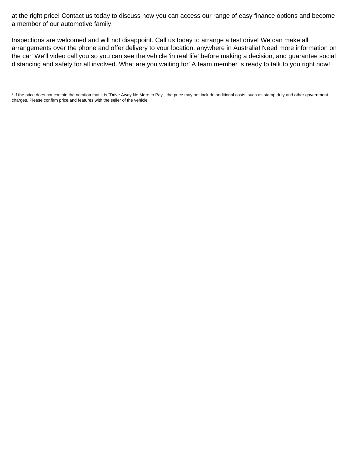at the right price! Contact us today to discuss how you can access our range of easy finance options and become a member of our automotive family!

Inspections are welcomed and will not disappoint. Call us today to arrange a test drive! We can make all arrangements over the phone and offer delivery to your location, anywhere in Australia! Need more information on the car' We'll video call you so you can see the vehicle 'in real life' before making a decision, and guarantee social distancing and safety for all involved. What are you waiting for' A team member is ready to talk to you right now!

\* If the price does not contain the notation that it is "Drive Away No More to Pay", the price may not include additional costs, such as stamp duty and other government charges. Please confirm price and features with the seller of the vehicle.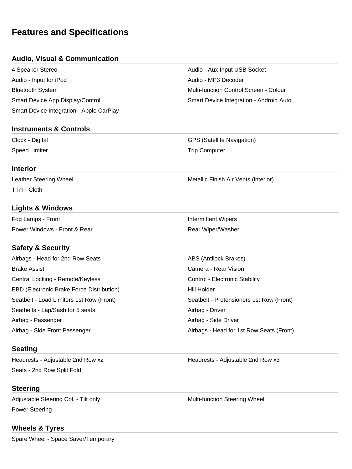# **Features and Specifications**

#### **Audio, Visual & Communication**

| 4 Speaker Stereo                         |
|------------------------------------------|
| Audio - Input for iPod                   |
| <b>Bluetooth System</b>                  |
| Smart Device App Display/Control         |
| Smart Device Integration - Apple CarPlay |

Audio - Aux Input USB Socket Audio - MP3 Decoder Multi-function Control Screen - Colour Smart Device Integration - Android Auto

# **Instruments & Controls**

Clock - Digital GPS (Satellite Navigation) Speed Limiter **Trip Computer** Trip Computer

#### **Interior**

Leather Steering Wheel **Metallic Finish Air Vents (interior)** Metallic Finish Air Vents (interior) Trim - Cloth

## **Lights & Windows**

Fog Lamps - Front **Intermittent Wipers Intermittent Wipers** Power Windows - Front & Rear **Rear Michael American** Rear Wiper/Washer

## **Safety & Security**

| Airbags - Head for 2nd Row Seats          | ABS (Antilock Brakes)                    |
|-------------------------------------------|------------------------------------------|
| <b>Brake Assist</b>                       | Camera - Rear Vision                     |
| Central Locking - Remote/Keyless          | Control - Electronic Stability           |
| EBD (Electronic Brake Force Distribution) | Hill Holder                              |
| Seatbelt - Load Limiters 1st Row (Front)  | Seatbelt - Pretensioners 1st Row (Front) |
| Seatbelts - Lap/Sash for 5 seats          | Airbag - Driver                          |
| Airbag - Passenger                        | Airbag - Side Driver                     |
| Airbag - Side Front Passenger             | Airbags - Head for 1st Row Seats (Front) |

#### **Seating**

Seats - 2nd Row Split Fold

#### **Steering**

Adjustable Steering Col. - Tilt only Multi-function Steering Wheel Power Steering

#### **Wheels & Tyres**

Spare Wheel - Space Saver/Temporary

Headrests - Adjustable 2nd Row x2 Headrests - Adjustable 2nd Row x3